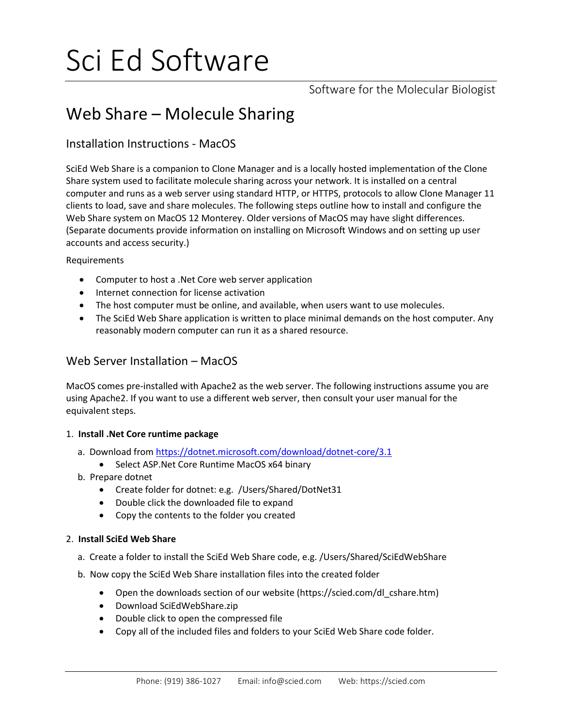# Sci Ed Software

Software for the Molecular Biologist

# Web Share – Molecule Sharing

# Installation Instructions - MacOS

SciEd Web Share is a companion to Clone Manager and is a locally hosted implementation of the Clone Share system used to facilitate molecule sharing across your network. It is installed on a central computer and runs as a web server using standard HTTP, or HTTPS, protocols to allow Clone Manager 11 clients to load, save and share molecules. The following steps outline how to install and configure the Web Share system on MacOS 12 Monterey. Older versions of MacOS may have slight differences. (Separate documents provide information on installing on Microsoft Windows and on setting up user accounts and access security.)

Requirements

- Computer to host a .Net Core web server application
- Internet connection for license activation
- The host computer must be online, and available, when users want to use molecules.
- The SciEd Web Share application is written to place minimal demands on the host computer. Any reasonably modern computer can run it as a shared resource.

## Web Server Installation – MacOS

MacOS comes pre-installed with Apache2 as the web server. The following instructions assume you are using Apache2. If you want to use a different web server, then consult your user manual for the equivalent steps.

#### 1. **Install .Net Core runtime package**

- a. Download from<https://dotnet.microsoft.com/download/dotnet-core/3.1>
	- Select ASP.Net Core Runtime MacOS x64 binary
- b. Prepare dotnet
	- Create folder for dotnet: e.g. /Users/Shared/DotNet31
	- Double click the downloaded file to expand
	- Copy the contents to the folder you created

#### 2. **Install SciEd Web Share**

- a. Create a folder to install the SciEd Web Share code, e.g. /Users/Shared/SciEdWebShare
- b. Now copy the SciEd Web Share installation files into the created folder
	- Open the downloads section of our website (https://scied.com/dl\_cshare.htm)
	- Download SciEdWebShare.zip
	- Double click to open the compressed file
	- Copy all of the included files and folders to your SciEd Web Share code folder.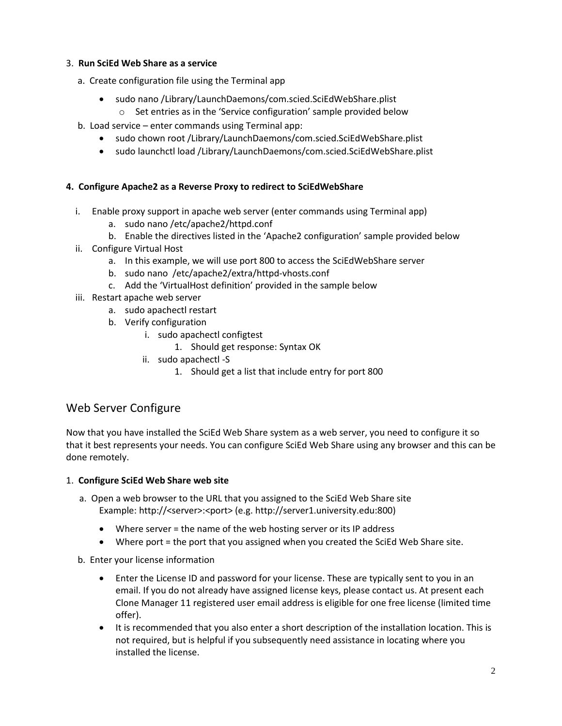#### 3. **Run SciEd Web Share as a service**

- a. Create configuration file using the Terminal app
	- sudo nano /Library/LaunchDaemons/com.scied.SciEdWebShare.plist
		- o Set entries as in the 'Service configuration' sample provided below
- b. Load service enter commands using Terminal app:
	- sudo chown root /Library/LaunchDaemons/com.scied.SciEdWebShare.plist
	- sudo launchctl load /Library/LaunchDaemons/com.scied.SciEdWebShare.plist

#### **4. Configure Apache2 as a Reverse Proxy to redirect to SciEdWebShare**

- i. Enable proxy support in apache web server (enter commands using Terminal app)
	- a. sudo nano /etc/apache2/httpd.conf
	- b. Enable the directives listed in the 'Apache2 configuration' sample provided below
- ii. Configure Virtual Host
	- a. In this example, we will use port 800 to access the SciEdWebShare server
	- b. sudo nano /etc/apache2/extra/httpd-vhosts.conf
	- c. Add the 'VirtualHost definition' provided in the sample below
- iii. Restart apache web server
	- a. sudo apachectl restart
	- b. Verify configuration
		- i. sudo apachectl configtest
			- 1. Should get response: Syntax OK
		- ii. sudo apachectl -S
			- 1. Should get a list that include entry for port 800

# Web Server Configure

Now that you have installed the SciEd Web Share system as a web server, you need to configure it so that it best represents your needs. You can configure SciEd Web Share using any browser and this can be done remotely.

#### 1. **Configure SciEd Web Share web site**

- a. Open a web browser to the URL that you assigned to the SciEd Web Share site Example: http://<server>:<port> (e.g. http://server1.university.edu:800)
	- Where server = the name of the web hosting server or its IP address
	- Where port = the port that you assigned when you created the SciEd Web Share site.
- b. Enter your license information
	- Enter the License ID and password for your license. These are typically sent to you in an email. If you do not already have assigned license keys, please contact us. At present each Clone Manager 11 registered user email address is eligible for one free license (limited time offer).
	- It is recommended that you also enter a short description of the installation location. This is not required, but is helpful if you subsequently need assistance in locating where you installed the license.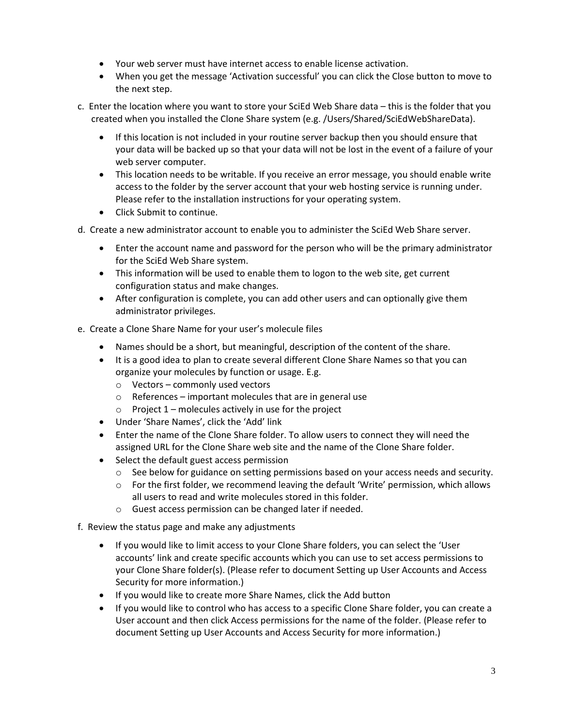- Your web server must have internet access to enable license activation.
- When you get the message 'Activation successful' you can click the Close button to move to the next step.
- c. Enter the location where you want to store your SciEd Web Share data this is the folder that you created when you installed the Clone Share system (e.g. /Users/Shared/SciEdWebShareData).
	- If this location is not included in your routine server backup then you should ensure that your data will be backed up so that your data will not be lost in the event of a failure of your web server computer.
	- This location needs to be writable. If you receive an error message, you should enable write access to the folder by the server account that your web hosting service is running under. Please refer to the installation instructions for your operating system.
	- Click Submit to continue.
- d. Create a new administrator account to enable you to administer the SciEd Web Share server.
	- Enter the account name and password for the person who will be the primary administrator for the SciEd Web Share system.
	- This information will be used to enable them to logon to the web site, get current configuration status and make changes.
	- After configuration is complete, you can add other users and can optionally give them administrator privileges.
- e. Create a Clone Share Name for your user's molecule files
	- Names should be a short, but meaningful, description of the content of the share.
	- It is a good idea to plan to create several different Clone Share Names so that you can organize your molecules by function or usage. E.g.
		- o Vectors commonly used vectors
		- o References important molecules that are in general use
		- $\circ$  Project 1 molecules actively in use for the project
	- Under 'Share Names', click the 'Add' link
	- Enter the name of the Clone Share folder. To allow users to connect they will need the assigned URL for the Clone Share web site and the name of the Clone Share folder.
	- Select the default guest access permission
		- o See below for guidance on setting permissions based on your access needs and security.
		- $\circ$  For the first folder, we recommend leaving the default 'Write' permission, which allows all users to read and write molecules stored in this folder.
		- o Guest access permission can be changed later if needed.
- f. Review the status page and make any adjustments
	- If you would like to limit access to your Clone Share folders, you can select the 'User accounts' link and create specific accounts which you can use to set access permissions to your Clone Share folder(s). (Please refer to document Setting up User Accounts and Access Security for more information.)
	- If you would like to create more Share Names, click the Add button
	- If you would like to control who has access to a specific Clone Share folder, you can create a User account and then click Access permissions for the name of the folder. (Please refer to document Setting up User Accounts and Access Security for more information.)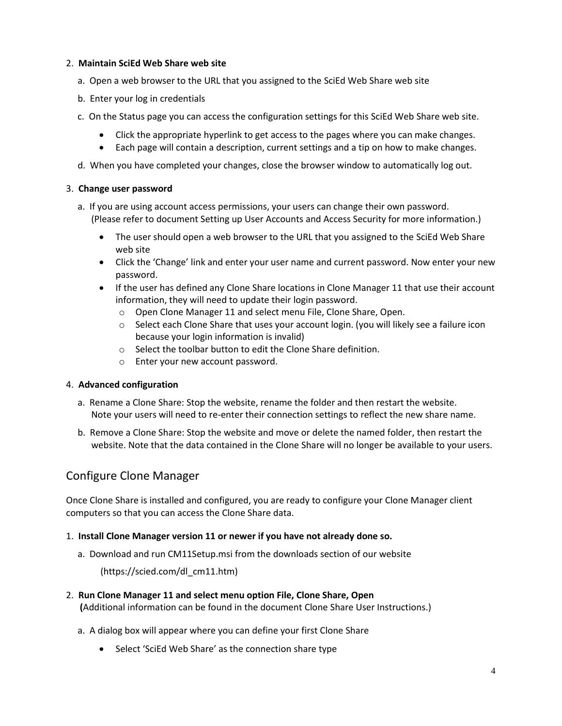#### 2. **Maintain SciEd Web Share web site**

- a. Open a web browser to the URL that you assigned to the SciEd Web Share web site
- b. Enter your log in credentials
- c. On the Status page you can access the configuration settings for this SciEd Web Share web site.
	- Click the appropriate hyperlink to get access to the pages where you can make changes.
	- Each page will contain a description, current settings and a tip on how to make changes.
- d. When you have completed your changes, close the browser window to automatically log out.

#### 3. **Change user password**

- a. If you are using account access permissions, your users can change their own password. (Please refer to document Setting up User Accounts and Access Security for more information.)
	- The user should open a web browser to the URL that you assigned to the SciEd Web Share web site
	- Click the 'Change' link and enter your user name and current password. Now enter your new password.
	- If the user has defined any Clone Share locations in Clone Manager 11 that use their account information, they will need to update their login password.
		- o Open Clone Manager 11 and select menu File, Clone Share, Open.
		- o Select each Clone Share that uses your account login. (you will likely see a failure icon because your login information is invalid)
		- o Select the toolbar button to edit the Clone Share definition.
		- o Enter your new account password.

#### 4. **Advanced configuration**

- a. Rename a Clone Share: Stop the website, rename the folder and then restart the website. Note your users will need to re-enter their connection settings to reflect the new share name.
- b. Remove a Clone Share: Stop the website and move or delete the named folder, then restart the website. Note that the data contained in the Clone Share will no longer be available to your users.

# Configure Clone Manager

Once Clone Share is installed and configured, you are ready to configure your Clone Manager client computers so that you can access the Clone Share data.

#### 1. **Install Clone Manager version 11 or newer if you have not already done so.**

a. Download and run CM11Setup.msi from the downloads section of our website

(https://scied.com/dl\_cm11.htm)

#### 2. **Run Clone Manager 11 and select menu option File, Clone Share, Open**

 **(**Additional information can be found in the document Clone Share User Instructions.)

- a. A dialog box will appear where you can define your first Clone Share
	- Select 'SciEd Web Share' as the connection share type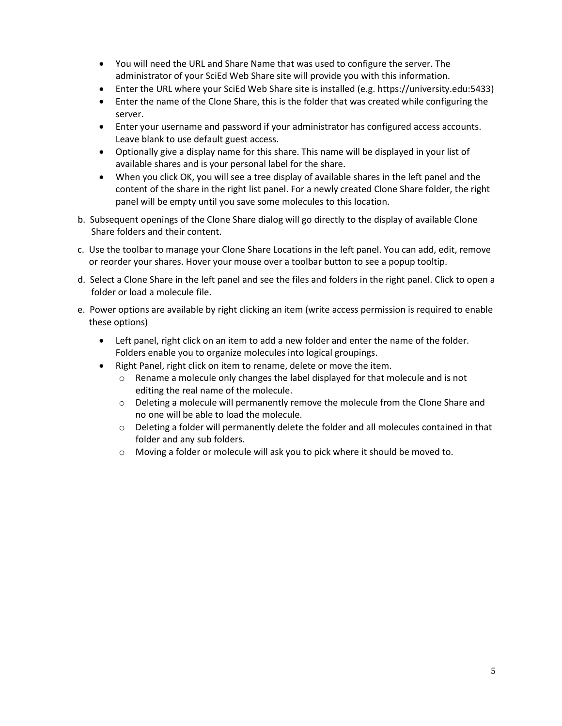- You will need the URL and Share Name that was used to configure the server. The administrator of your SciEd Web Share site will provide you with this information.
- Enter the URL where your SciEd Web Share site is installed (e.g. https://university.edu:5433)
- Enter the name of the Clone Share, this is the folder that was created while configuring the server.
- Enter your username and password if your administrator has configured access accounts. Leave blank to use default guest access.
- Optionally give a display name for this share. This name will be displayed in your list of available shares and is your personal label for the share.
- When you click OK, you will see a tree display of available shares in the left panel and the content of the share in the right list panel. For a newly created Clone Share folder, the right panel will be empty until you save some molecules to this location.
- b. Subsequent openings of the Clone Share dialog will go directly to the display of available Clone Share folders and their content.
- c. Use the toolbar to manage your Clone Share Locations in the left panel. You can add, edit, remove or reorder your shares. Hover your mouse over a toolbar button to see a popup tooltip.
- d. Select a Clone Share in the left panel and see the files and folders in the right panel. Click to open a folder or load a molecule file.
- e. Power options are available by right clicking an item (write access permission is required to enable these options)
	- Left panel, right click on an item to add a new folder and enter the name of the folder. Folders enable you to organize molecules into logical groupings.
	- Right Panel, right click on item to rename, delete or move the item.
		- $\circ$  Rename a molecule only changes the label displayed for that molecule and is not editing the real name of the molecule.
		- $\circ$  Deleting a molecule will permanently remove the molecule from the Clone Share and no one will be able to load the molecule.
		- o Deleting a folder will permanently delete the folder and all molecules contained in that folder and any sub folders.
		- o Moving a folder or molecule will ask you to pick where it should be moved to.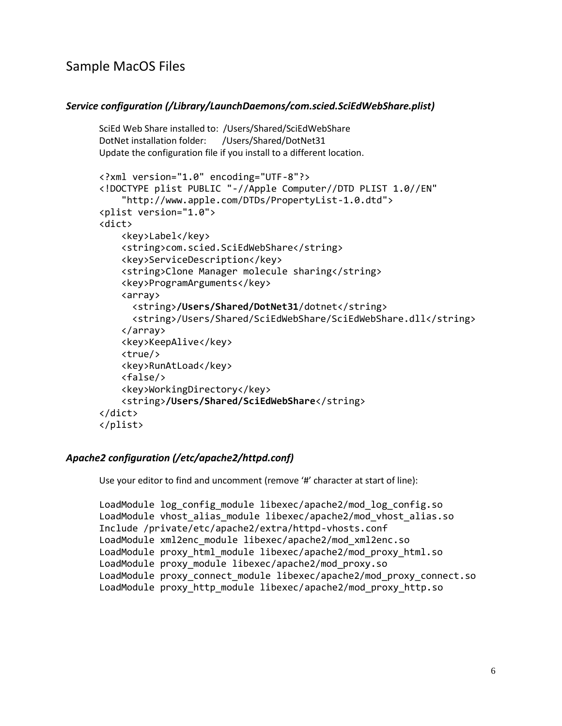# Sample MacOS Files

#### *Service configuration (/Library/LaunchDaemons/com.scied.SciEdWebShare.plist)*

```
SciEd Web Share installed to: /Users/Shared/SciEdWebShare
DotNet installation folder: /Users/Shared/DotNet31
Update the configuration file if you install to a different location.
<?xml version="1.0" encoding="UTF-8"?>
<!DOCTYPE plist PUBLIC "-//Apple Computer//DTD PLIST 1.0//EN"
     "http://www.apple.com/DTDs/PropertyList-1.0.dtd">
<plist version="1.0">
<dict>
     <key>Label</key>
     <string>com.scied.SciEdWebShare</string>
     <key>ServiceDescription</key>
     <string>Clone Manager molecule sharing</string>
     <key>ProgramArguments</key>
     <array>
      <string>/Users/Shared/DotNet31/dotnet</string>
      <string>/Users/Shared/SciEdWebShare/SciEdWebShare.dll</string>
     </array>
     <key>KeepAlive</key>
     <true/> 
     <key>RunAtLoad</key>
     <false/>
     <key>WorkingDirectory</key>
     <string>/Users/Shared/SciEdWebShare</string>
</dict>
</plist>
```
#### *Apache2 configuration (/etc/apache2/httpd.conf)*

Use your editor to find and uncomment (remove '#' character at start of line):

```
LoadModule log config module libexec/apache2/mod log config.so
LoadModule vhost_alias_module libexec/apache2/mod_vhost_alias.so
Include /private/etc/apache2/extra/httpd-vhosts.conf
LoadModule xml2enc_module libexec/apache2/mod_xml2enc.so
LoadModule proxy_html_module libexec/apache2/mod_proxy_html.so
LoadModule proxy_module libexec/apache2/mod_proxy.so
LoadModule proxy_connect_module libexec/apache2/mod_proxy_connect.so
LoadModule proxy_http_module libexec/apache2/mod_proxy_http.so
```